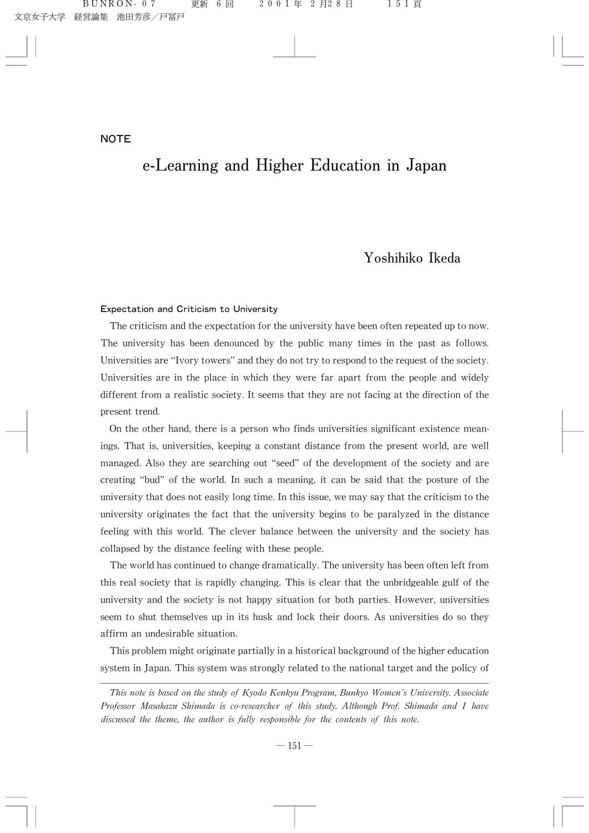# e-Learning and Higher Education in Japan

# Yoshihiko Ikeda

#### Expectation and Criticism to University

The criticism and the expectation for the university have been often repeated up to now. The university has been denounced by the public many times in the past as follows. Universities are "Ivory towers" and they do not try to respond to the request of the society. Universities are in the place in which they were far apart from the people and widely different from a realistic society. It seems that they are not facing at the direction of the present trend.

On the other hand, there is a person who finds universities significant existence meanings. That is, universities, keeping a constant distance from the present world, are well managed. Also they are searching out "seed" of the development of the society and are creating "bud" of the world. In such a meaning, it can be said that the posture of the university that does not easily long time. In this issue, we may say that the criticism to the university originates the fact that the university begins to be paralyzed in the distance feeling with this world. The clever balance between the university and the society has collapsed by the distance feeling with these people.

The world has continued to change dramatically. The university has been often left from this real society that is rapidly changing. This is clear that the unbridgeable gulf of the university and the society is not happy situation for both parties. However, universities seem to shut themselves up in its husk and lock their doors. As universities do so they affirm an undesirable situation.

This problem might originate partially in a historical background of the higher education system in Japan. This system was strongly related to the national target and the policy of

This note is based on the study of Kyodo Kenkyu Program, Bunkyo Women's University. Associate Professor Masakazu Shimada is co-researcher of this study. Although Prof. Shimada and I have discussed the theme, the author is fully responsible for the contents of this note.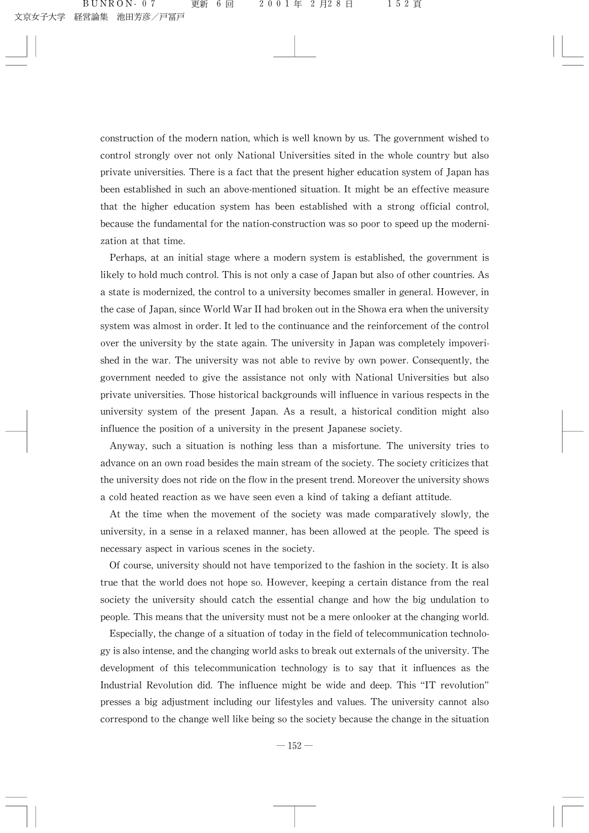construction of the modern nation, which is well known by us. The government wished to control strongly over not only National Universities sited in the whole country but also private universities. There is a fact that the present higher education system of Japan has been established in such an above-mentioned situation. It might be an effective measure that the higher education system has been established with a strong official control, because the fundamental for the nation-construction was so poor to speed up the modernization at that time.

Perhaps, at an initial stage where a modern system is established, the government is likely to hold much control. This is not only a case of Japan but also of other countries. As a state is modernized, the control to a university becomes smaller in general. However, in the case of Japan, since World War II had broken out in the Showa era when the university system was almost in order. It led to the continuance and the reinforcement of the control over the university by the state again. The university in Japan was completely impoverished in the war. The university was not able to revive by own power. Consequently, the government needed to give the assistance not only with National Universities but also private universities. Those historical backgrounds will influence in various respects in the university system of the present Japan. As a result, a historical condition might also influence the position of a university in the present Japanese society.

Anyway, such a situation is nothing less than a misfortune. The university tries to advance on an own road besides the main stream of the society. The society criticizes that the university does not ride on the flow in the present trend. Moreover the university shows a cold heated reaction as we have seen even a kind of taking a defiant attitude.

At the time when the movement of the society was made comparatively slowly, the university, in a sense in a relaxed manner, has been allowed at the people. The speed is necessary aspect in various scenes in the society.

Of course, university should not have temporized to the fashion in the society. It is also true that the world does not hope so. However, keeping a certain distance from the real society the university should catch the essential change and how the big undulation to people. This means that the university must not be a mere onlooker at the changing world.

Especially, the change of a situation of today in the field of telecommunication technologyisalsointense,andthechangingworldaskstobreakoutexternalsoftheuniversity.The development of this telecommunication technology is to say that it influences as the Industrial Revolution did. The influence might be wide and deep. This "IT revolution" presses a big adjustment including our lifestyles and values. The university cannot also correspond to the change well like being so the society because the change in the situation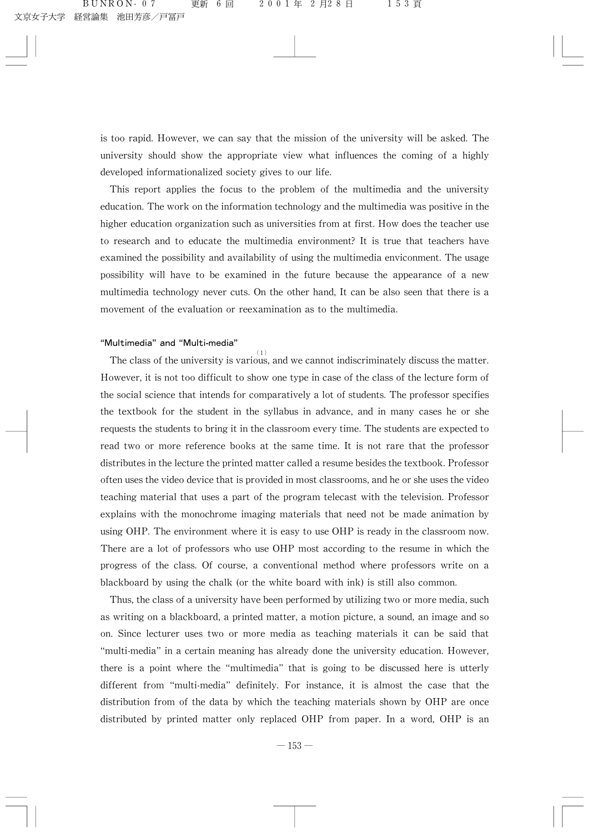is too rapid. However, we can say that the mission of the university will be asked. The university should show the appropriate view what influences the coming of a highly developed informationalized society gives to our life.

This report applies the focus to the problem of the multimedia and the university education. The work on the information technology and the multimedia was positive in the higher education organization such as universities from at first. How does the teacher use to research and to educate the multimedia environment? It is true that teachers have examined the possibility and availability of using the multimedia enviconment. The usage possibility will have to be examined in the future because the appearance of a new multimedia technology never cuts. On the other hand, It can be also seen that there is a movement of the evaluation or reexamination as to the multimedia.

# "Multimedia" and "Multi-media"

The class of the university is various, and we cannot indiscriminately discuss the matter. However, it is not too difficult to show one type in case of the class of the lecture form of the social science that intends for comparatively a lot of students. The professor specifies the textbook for the student in the syllabus in advance, and in many cases he or she requests the students to bring it in the classroom every time. The students are expected to read two or more reference books at the same time. It is not rare that the professor distributes in the lecture the printed matter called a resume besides the textbook. Professor often uses the video device that is provided in most classrooms, and he or she uses the video teaching material that uses a part of the program telecast with the television. Professor explains with the monochrome imaging materials that need not be made animation by using OHP. The environment where it is easy to use OHP is ready in the classroom now. There are a lot of professors who use OHP most according to the resume in which the progress of the class. Of course, a conventional method where professors write on a blackboard by using the chalk (or the white board with ink) is still also common.

Thus, the class of a university have been performed by utilizing two or more media, such as writing on a blackboard, a printed matter, a motion picture, a sound, an image and so on. Since lecturer uses two or more media as teaching materials it can be said that "multi-media" in a certain meaning has already done the university education. However, there is a point where the "multimedia" that is going to be discussed here is utterly different from "multi-media" definitely. For instance, it is almost the case that the distribution from of the data by which the teaching materials shown by OHP are once distributed by printed matter only replaced OHP from paper. In a word, OHP is an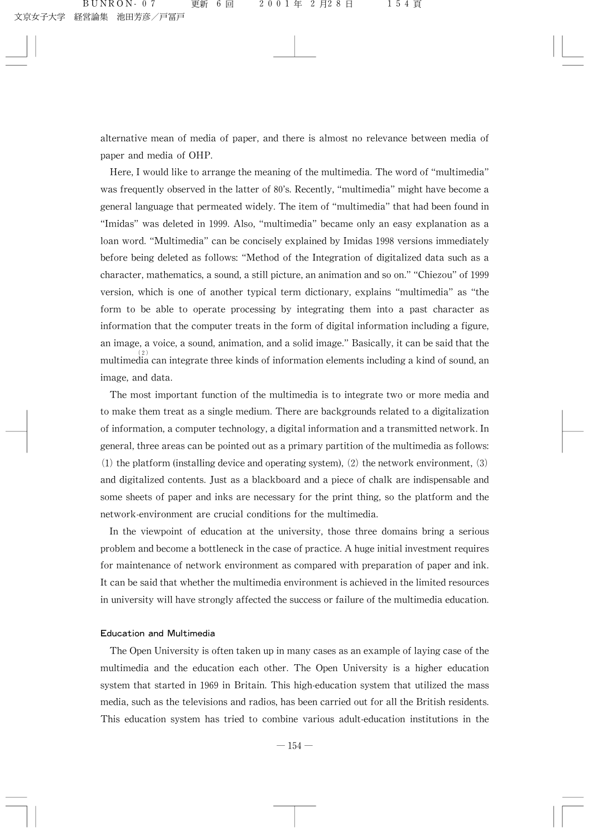alternative mean of media of paper, and there is almost no relevance between media of paper and media of OHP.

Here, I would like to arrange the meaning of the multimedia. The word of "multimedia" was frequently observed in the latter of 80's. Recently, "multimedia" might have become a general language that permeated widely. The item of "multimedia" that had been found in "Imidas" was deleted in 1999. Also, "multimedia" became only an easy explanation as a loan word. "Multimedia" can be concisely explained by Imidas 1998 versions immediately before being deleted as follows: "Method of the Integration of digitalized data such as a character, mathematics, a sound, a still picture, an animation and so on." "Chiezou" of 1999 version, which is one of another typical term dictionary, explains "multimedia" as "the form to be able to operate processing by integrating them into a past character as information that the computer treats in the form of digital information including a figure, an image, a voice, a sound, animation, and a solid image." Basically, it can be said that the multimedia can integrate three kinds of information elements including a kind of sound, an image, and data.

The most important function of the multimedia is to integrate two or more media and to make them treat as a single medium. There are backgrounds related to a digitalization of information, a computer technology, a digital information and a transmitted network. In general, three areas can be pointed out as a primary partition of the multimedia as follows: (1) the platform (installing device and operating system), (2) the network environment, (3) and digitalized contents. Just as a blackboard and a piece of chalk are indispensable and some sheets of paper and inks are necessary for the print thing, so the platform and the network-environment are crucial conditions for the multimedia.

In the viewpoint of education at the university, those three domains bring a serious problem and become a bottleneck in the case of practice. A huge initial investment requires for maintenance of network environment as compared with preparation of paper and ink. It can be said that whether the multimedia environment is achieved in the limited resources in university will have strongly affected the success or failure of the multimedia education.

#### **Education and Multimedia**

The Open University is often taken up in many cases as an example of laying case of the multimedia and the education each other. The Open University is a higher education system that started in 1969 in Britain. This high-education system that utilized the mass media, such as the televisions and radios, has been carried out for all the British residents. This education system has tried to combine various adult-education institutions in the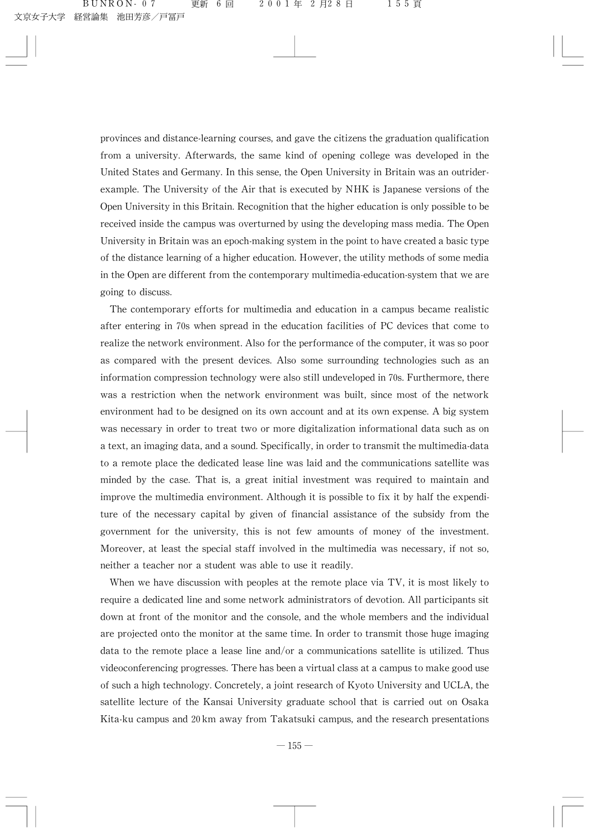provinces and distance-learning courses, and gave the citizens the graduation qualification from a university. Afterwards, the same kind of opening college was developed in the United States and Germany. In this sense, the Open University in Britain was an outriderexample. The University of the Air that is executed by NHK is Japanese versions of the Open University in this Britain. Recognition that the higher education is only possible to be received inside the campus was overturned by using the developing mass media. The Open University in Britain was an epoch-making system in the point to have created a basic type of the distance learning of a higher education. However, the utility methods of some media in the Open are different from the contemporary multimedia-education-system that we are going to discuss.

The contemporary efforts for multimedia and education in a campus became realistic after entering in 70s when spread in the education facilities of PC devices that come to realize the network environment. Also for the performance of the computer, it was so poor as compared with the present devices. Also some surrounding technologies such as an information compression technology were also still undeveloped in 70s. Furthermore, there was a restriction when the network environment was built, since most of the network environment had to be designed on its own account and at its own expense. A big system was necessary in order to treat two or more digitalization informational data such as on a text, an imaging data, and a sound. Specifically, in order to transmit the multimedia-data to a remote place the dedicated lease line was laid and the communications satellite was minded by the case. That is, a great initial investment was required to maintain and improve the multimedia environment. Although it is possible to fix it by half the expenditure of the necessary capital by given of financial assistance of the subsidy from the government for the university, this is not few amounts of money of the investment. Moreover, at least the special staff involved in the multimedia was necessary, if not so, neither a teacher nor a student was able to use it readily.

When we have discussion with peoples at the remote place via  $TV$ , it is most likely to require a dedicated line and some network administrators of devotion. All participants sit down at front of the monitor and the console, and the whole members and the individual are projected onto the monitor at the same time. In order to transmit those huge imaging data to the remote place a lease line and/or a communications satellite is utilized. Thus videoconferencing progresses. There has been a virtual class at a campus to make good use of such a high technology. Concretely, a joint research of Kyoto University and UCLA, the satellite lecture of the Kansai University graduate school that is carried out on Osaka Kita-ku campus and 20 km away from Takatsuki campus, and the research presentations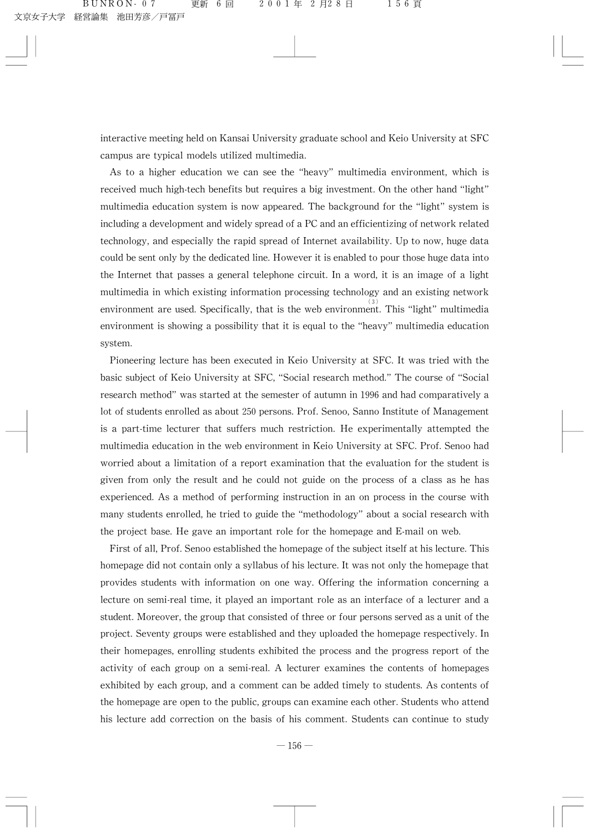interactive meeting held on Kansai University graduate school and Keio University at SFC campus are typical models utilized multimedia.

As to a higher education we can see the "heavy" multimedia environment, which is received much high-tech benefits but requires a big investment. On the other hand "light" multimedia education system is now appeared. The background for the "light" system is including a development and widely spread of a PC and an efficientizing of network related technology, and especially the rapid spread of Internet availability. Up to now, huge data could be sent only by the dedicated line. However it is enabled to pour those huge data into the Internet that passes a general telephone circuit. In a word, it is an image of a light multimedia in which existing information processing technology and an existing network environment are used. Specifically, that is the web environment. This "light" multimedia environment is showing a possibility that it is equal to the "heavy" multimedia education system.

Pioneering lecture has been executed in Keio University at SFC. It was tried with the basic subject of Keio University at SFC, "Social research method." The course of "Social research method" was started at the semester of autumn in 1996 and had comparatively a lot of students enrolled as about 250 persons. Prof. Senoo, Sanno Institute of Management is a part-time lecturer that suffers much restriction. He experimentally attempted the multimedia education in the web environment in Keio University at SFC. Prof. Senoo had worried about a limitation of a report examination that the evaluation for the student is given from only the result and he could not guide on the process of a class as he has experienced. As a method of performing instruction in an on process in the course with many students enrolled, he tried to guide the "methodology" about a social research with the project base. He gave an important role for the homepage and E-mail on web.

First of all, Prof. Senoo established the homepage of the subject itself at his lecture. This homepage did not contain only a syllabus of his lecture. It was not only the homepage that provides students with information on one way. Offering the information concerning a lecture on semi-real time, it played an important role as an interface of a lecturer and a student. Moreover, the group that consisted of three or four persons served as a unit of the project. Seventy groups were established and they uploaded the homepage respectively. In their homepages, enrolling students exhibited the process and the progress report of the activity of each group on a semi-real. A lecturer examines the contents of homepages exhibited by each group, and a comment can be added timely to students. As contents of the homepage are open to the public, groups can examine each other. Students who attend his lecture add correction on the basis of his comment. Students can continue to study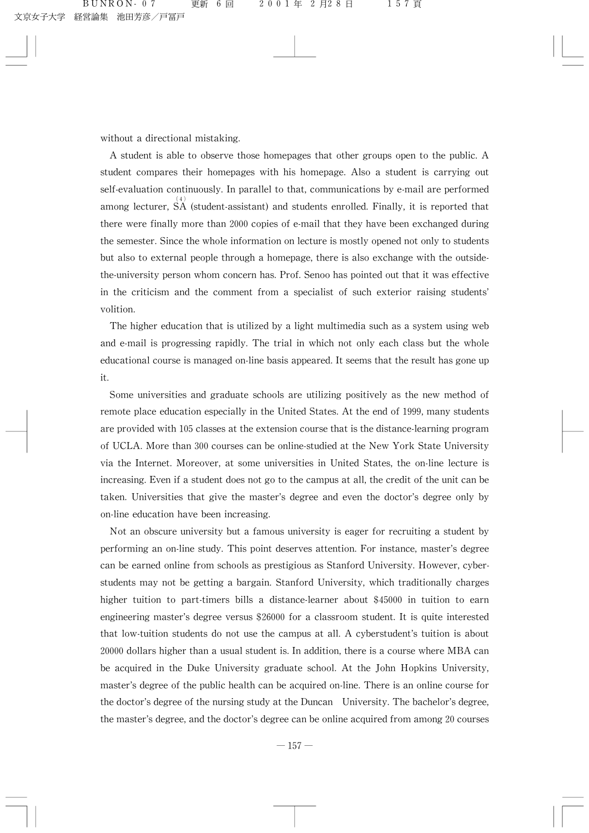without a directional mistaking.

A student is able to observe those homepages that other groups open to the public. A student compares their homepages with his homepage. Also a student is carrying out self-evaluation continuously. In parallel to that, communications by e-mail are performed among lecturer,  $\overrightarrow{SA}$  (student-assistant) and students enrolled. Finally, it is reported that there were finally more than 2000 copies of e-mail that they have been exchanged during the semester. Since the whole information on lecture is mostly opened not only to students but also to external people through a homepage, there is also exchange with the outsidethe-university person whom concern has. Prof. Senoo has pointed out that it was effective in the criticism and the comment from a specialist of such exterior raising students' volition.

The higher education that is utilized by a light multimedia such as a system using web and e-mail is progressing rapidly. The trial in which not only each class but the whole educational course is managed on-line basis appeared. It seems that the result has gone up it.

Some universities and graduate schools are utilizing positively as the new method of remote place education especially in the United States. At the end of 1999, many students are provided with 105 classes at the extension course that is the distance-learning program of UCLA. More than 300 courses can be online-studied at the New York State University via the Internet. Moreover, at some universities in United States, the on-line lecture is increasing. Even if a student does not go to the campus at all, the credit of the unit can be taken. Universities that give the master's degree and even the doctor's degree only by on-line education have been increasing.

Not an obscure university but a famous university is eager for recruiting a student by performing an on-line study. This point deserves attention. For instance, master's degree can be earned online from schools as prestigious as Stanford University. However, cyberstudents may not be getting a bargain. Stanford University, which traditionally charges higher tuition to part-timers bills a distance-learner about \$45000 in tuition to earn engineering master's degree versus \$26000 for a classroom student. It is quite interested that low-tuition students do not use the campus at all. A cyberstudent's tuition is about 20000 dollars higher than a usual student is. In addition, there is a course where MBA can be acquired in the Duke University graduate school. At the John Hopkins University, master's degree of the public health can be acquired on-line. There is an online course for the doctor's degree of the nursing study at the Duncan University. The bachelor's degree, the master's degree, and the doctor's degree can be online acquired from among 20 courses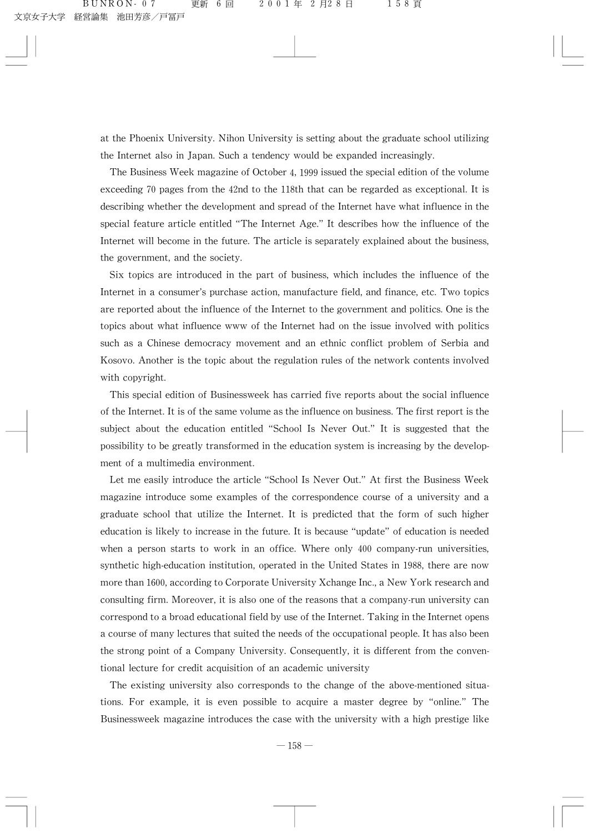at the Phoenix University. Nihon University is setting about the graduate school utilizing the Internet also in Japan. Such a tendency would be expanded increasingly.

The Business Week magazine of October 4, 1999 issued the special edition of the volume exceeding 70 pages from the 42nd to the 118th that can be regarded as exceptional. It is describing whether the development and spread of the Internet have what influence in the special feature article entitled "The Internet Age." It describes how the influence of the Internet will become in the future. The article is separately explained about the business, the government, and the society.

Six topics are introduced in the part of business, which includes the influence of the Internet in a consumer's purchase action, manufacture field, and finance, etc. Two topics are reported about the influence of the Internet to the government and politics. One is the topics about what influence www of the Internet had on the issue involved with politics such as a Chinese democracy movement and an ethnic conflict problem of Serbia and Kosovo. Another is the topic about the regulation rules of the network contents involved with copyright.

This special edition of Businessweek has carried five reports about the social influence of the Internet. It is of the same volume as the influence on business. The first report is the subject about the education entitled "School Is Never Out." It is suggested that the possibility to be greatly transformed in the education system is increasing by the development of a multimedia environment.

Let me easily introduce the article "School Is Never Out." At first the Business Week magazine introduce some examples of the correspondence course of a university and a graduate school that utilize the Internet. It is predicted that the form of such higher education is likely to increase in the future. It is because "update" of education is needed when a person starts to work in an office. Where only 400 company-run universities, synthetic high-education institution, operated in the United States in 1988, there are now more than 1600, according to Corporate University Xchange Inc., a New York research and consulting firm. Moreover, it is also one of the reasons that a company-run university can correspond to a broad educational field by use of the Internet. Taking in the Internet opens a course of many lectures that suited the needs of the occupational people. It has also been the strong point of a Company University. Consequently, it is different from the conventional lecture for credit acquisition of an academic university

The existing university also corresponds to the change of the above-mentioned situations. For example, it is even possible to acquire a master degree by "online." The Businessweek magazine introduces the case with the university with a high prestige like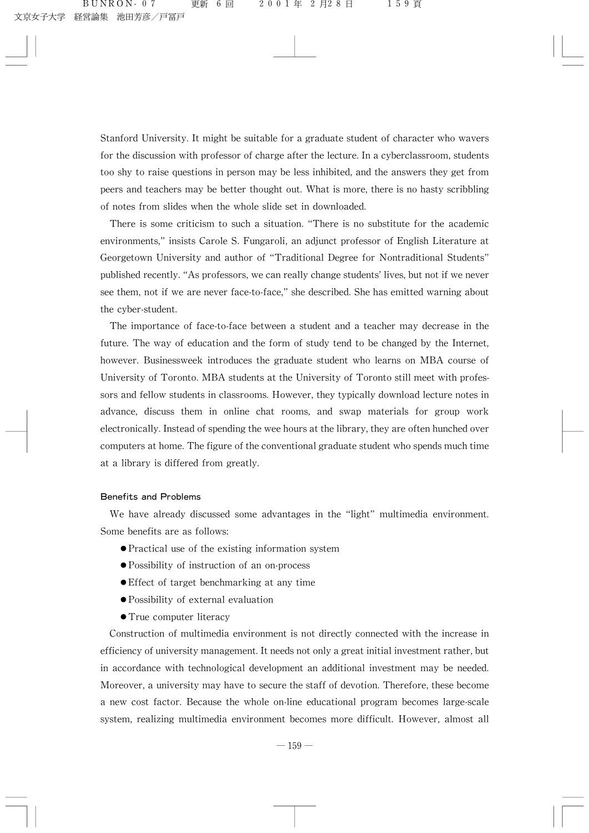Stanford University. It might be suitable for a graduate student of character who wavers for the discussion with professor of charge after the lecture. In a cyberclassroom, students too shy to raise questions in person may be less inhibited, and the answers they get from peers and teachers may be better thought out. What is more, there is no hasty scribbling of notes from slides when the whole slide set in downloaded.

There is some criticism to such a situation. "There is no substitute for the academic environments," insists Carole S. Fungaroli, an adjunct professor of English Literature at Georgetown University and author of "Traditional Degree for Nontraditional Students" published recently. "As professors, we can really change students' lives, but not if we never see them, not if we are never face-to-face," she described. She has emitted warning about the cyber-student.

The importance of face-to-face between a student and a teacher may decrease in the future. The way of education and the form of study tend to be changed by the Internet, however. Businessweek introduces the graduate student who learns on MBA course of University of Toronto. MBA students at the University of Toronto still meet with professors and fellow students in classrooms. However, they typically download lecture notes in advance, discuss them in online chat rooms, and swap materials for group work electronically. Instead of spending the wee hours at the library, they are often hunched over computers at home. The figure of the conventional graduate student who spends much time at a library is differed from greatly.

# Benefits and Problems

We have already discussed some advantages in the "light" multimedia environment. Some benefits are as follows:

- $\bullet$  Practical use of the existing information system
- Possibility of instruction of an on-process
- $\bullet$  Effect of target benchmarking at any time
- $\bullet$  Possibility of external evaluation
- True computer literacy

Construction of multimedia environment is not directly connected with the increase in efficiency of university management. It needs not only a great initial investment rather, but in accordance with technological development an additional investment may be needed. Moreover, a university may have to secure the staff of devotion. Therefore, these become a new cost factor. Because the whole on-line educational program becomes large-scale system, realizing multimedia environment becomes more difficult. However, almost all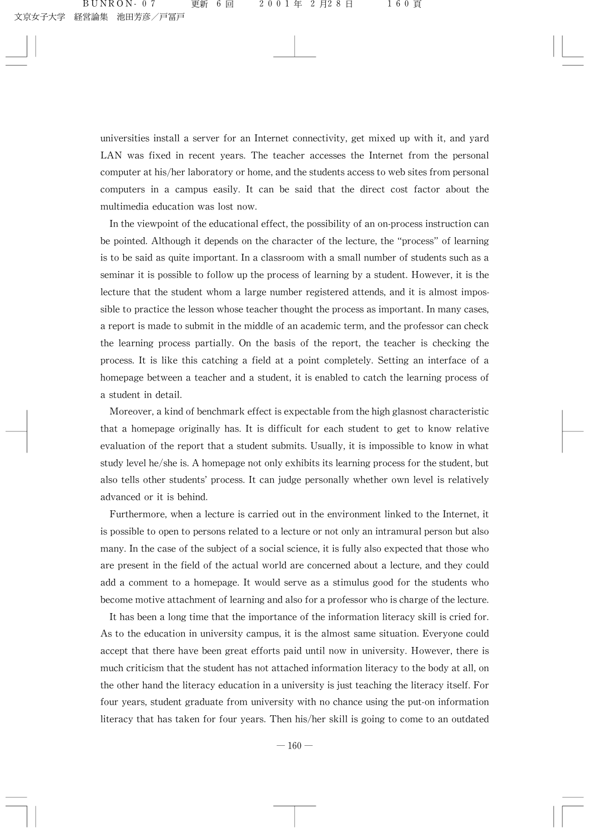universities install a server for an Internet connectivity, get mixed up with it, and yard LAN was fixed in recent years. The teacher accesses the Internet from the personal computer at his/her laboratory or home, and the students access to web sites from personal computers in a campus easily. It can be said that the direct cost factor about the multimedia education was lost now.

In the viewpoint of the educational effect, the possibility of an on-process instruction can be pointed. Although it depends on the character of the lecture, the "process" of learning is to be said as quite important. In a classroom with a small number of students such as a seminar it is possible to follow up the process of learning by a student. However, it is the lecture that the student whom a large number registered attends, and it is almost impossible to practice the lesson whose teacher thought the process as important. In many cases, a report is made to submit in the middle of an academic term, and the professor can check the learning process partially. On the basis of the report, the teacher is checking the process. It is like this catching a field at a point completely. Setting an interface of a homepage between a teacher and a student, it is enabled to catch the learning process of a student in detail.

Moreover, a kind of benchmark effect is expectable from the high glasnost characteristic that a homepage originally has. It is difficult for each student to get to know relative evaluation of the report that a student submits. Usually, it is impossible to know in what study level he/she is. A homepage not only exhibits its learning process for the student, but also tells other students' process. It can judge personally whether own level is relatively advanced or it is behind.

Furthermore, when a lecture is carried out in the environment linked to the Internet, it is possible to open to persons related to a lecture or not only an intramural person but also many. In the case of the subject of a social science, it is fully also expected that those who are present in the field of the actual world are concerned about a lecture, and they could add a comment to a homepage. It would serve as a stimulus good for the students who become motive attachment of learning and also for a professor who is charge of the lecture.

It has been a long time that the importance of the information literacy skill is cried for. As to the education in university campus, it is the almost same situation. Everyone could accept that there have been great efforts paid until now in university. However, there is much criticism that the student has not attached information literacy to the body at all, on the other hand the literacy education in a university is just teaching the literacy itself. For four years, student graduate from university with no chance using the put-on information literacy that has taken for four years. Then his/her skill is going to come to an outdated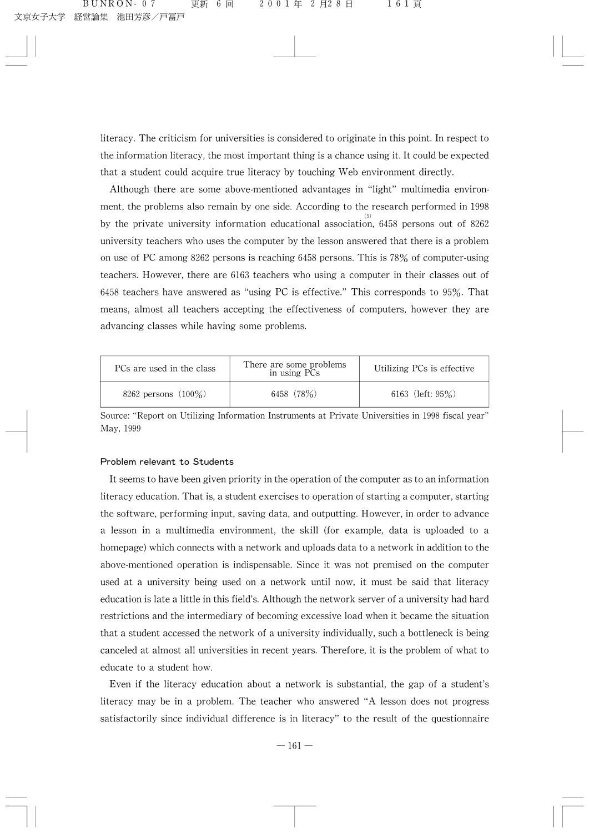literacy. The criticism for universities is considered to originate in this point. In respect to the information literacy, the most important thing is a chance using it. It could be expected that a student could acquire true literacy by touching Web environment directly.

Although there are some above-mentioned advantages in "light" multimedia environment, the problems also remain by one side. According to the research performed in 1998 by the private university information educational association, 6458 persons out of 8262 university teachers who uses the computer by the lesson answered that there is a problem on use of PC among 8262 persons is reaching 6458 persons. This is 78% of computer-using teachers. However, there are 6163 teachers who using a computer in their classes out of 6458 teachers have answered as "using PC is effective." This corresponds to  $95\%$ . That means, almost all teachers accepting the effectiveness of computers, however they are advancing classes while having some problems.

| PCs are used in the class | There are some problems<br>in using PCs | Utilizing PCs is effective |
|---------------------------|-----------------------------------------|----------------------------|
| 8262 persons $(100\%)$    | 6458 (78%)                              | 6163 (left: $95\%$ )       |

Source: "Report on Utilizing Information Instruments at Private Universities in 1998 fiscal year" May, 1999

# Problem relevant to Students

It seems to have been given priority in the operation of the computer as to an information literacy education. That is, a student exercises to operation of starting a computer, starting the software, performing input, saving data, and outputting. However, in order to advance a lesson in a multimedia environment, the skill (for example, data is uploaded to a homepage) which connects with a network and uploads data to a network in addition to the above-mentioned operation is indispensable. Since it was not premised on the computer used at a university being used on a network until now, it must be said that literacy education is late a little in this field's. Although the network server of a university had hard restrictions and the intermediary of becoming excessive load when it became the situation that a student accessed the network of a university individually, such a bottleneck is being canceled at almost all universities in recent years. Therefore, it is the problem of what to educate to a student how.

Even if the literacy education about a network is substantial, the gap of a student's literacy may be in a problem. The teacher who answered "A lesson does not progress satisfactorily since individual difference is in literacy" to the result of the questionnaire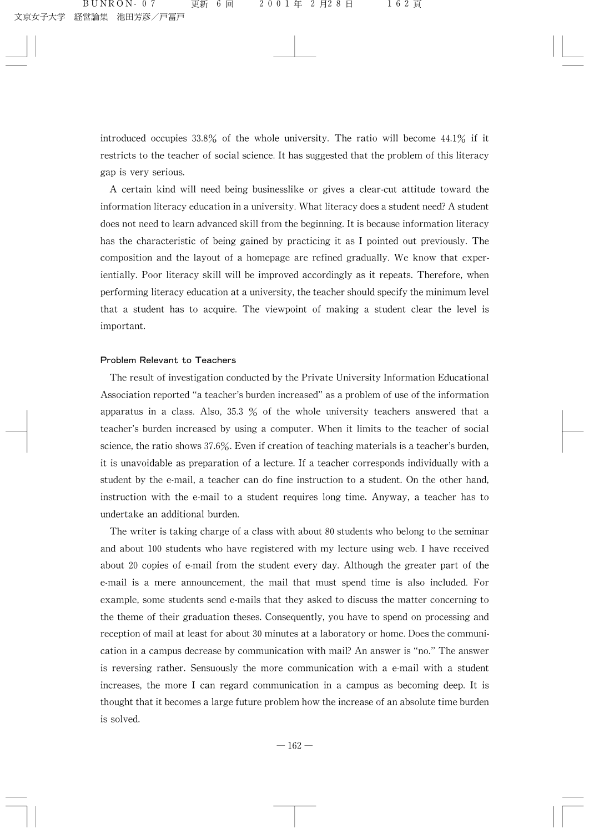introduced occupies  $33.8\%$  of the whole university. The ratio will become  $44.1\%$  if it restricts to the teacher of social science. It has suggested that the problem of this literacy gap is very serious.

A certain kind will need being businesslike or gives a clear-cut attitude toward the information literacy education in a university. What literacy does a student need? A student does not need to learn advanced skill from the beginning. It is because information literacy has the characteristic of being gained by practicing it as I pointed out previously. The composition and the layout of a homepage are refined gradually. We know that experientially. Poor literacy skill will be improved accordingly as it repeats. Therefore, when performing literacy education at a university, the teacher should specify the minimum level that a student has to acquire. The viewpoint of making a student clear the level is important.

#### Problem Relevant to Teachers

The result of investigation conducted by the Private University Information Educational Association reported "a teacher's burden increased" as a problem of use of the information apparatus in a class. Also,  $35.3\%$  of the whole university teachers answered that a teacher's burden increased by using a computer. When it limits to the teacher of social science, the ratio shows  $37.6\%$ . Even if creation of teaching materials is a teacher's burden, it is unavoidable as preparation of a lecture. If a teacher corresponds individually with a student by the e-mail, a teacher can do fine instruction to a student. On the other hand, instruction with the e-mail to a student requires long time. Anyway, a teacher has to undertake an additional burden.

The writer is taking charge of a class with about 80 students who belong to the seminar and about 100 students who have registered with my lecture using web. I have received about 20 copies of e-mail from the student every day. Although the greater part of the e-mail is a mere announcement, the mail that must spend time is also included. For example, some students send e-mails that they asked to discuss the matter concerning to the theme of their graduation theses. Consequently, you have to spend on processing and reception of mail at least for about 30 minutes at a laboratory or home. Does the communication in a campus decrease by communication with mail? An answer is "no." The answer is reversing rather. Sensuously the more communication with a e-mail with a student increases, the more I can regard communication in a campus as becoming deep. It is thought that it becomes a large future problem how the increase of an absolute time burden is solved.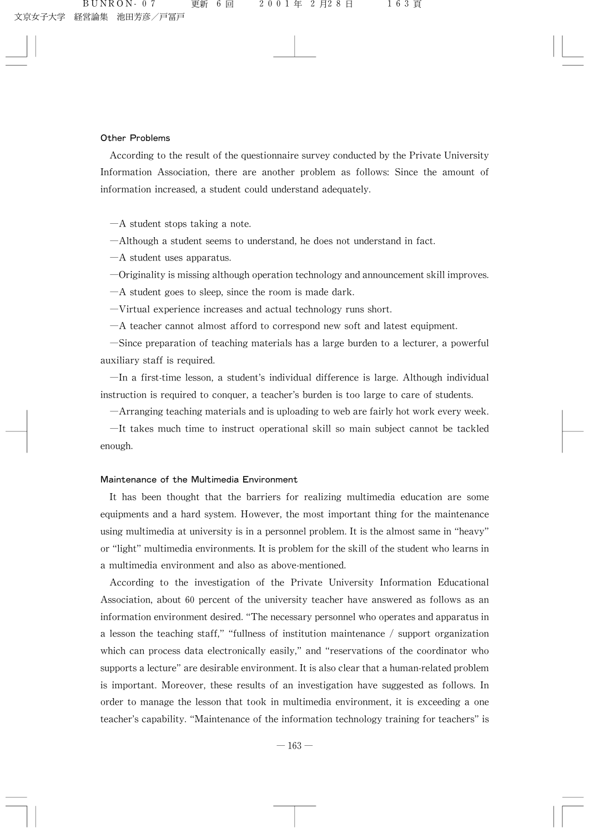# Other Problems

According to the result of the questionnaire survey conducted by the Private University Information Association, there are another problem as follows: Since the amount of information increased, a student could understand adequately.

 $-A$  student stops taking a note.

 $-\lambda$ lthough a student seems to understand, he does not understand in fact.

 $-A$  student uses apparatus.

 $-$ Originality is missing although operation technology and announcement skill improves.

 $-A$  student goes to sleep, since the room is made dark.

 $-V$ irtual experience increases and actual technology runs short.

 $-A$  teacher cannot almost afford to correspond new soft and latest equipment.

 $-\text{Since preparation of teaching materials has a large burden to a lecturer, a powerful}$ auxiliary staff is required.

 $-\text{In a first-time lesson, a student's individual difference is large. Although individual$ instruction is required to conquer, a teacher's burden is too large to care of students.

 $-A$ rranging teaching materials and is uploading to web are fairly hot work every week.

 $-$ It takes much time to instruct operational skill so main subject cannot be tackled enough.

## Maintenance of the Multimedia Environment

It has been thought that the barriers for realizing multimedia education are some equipments and a hard system. However, the most important thing for the maintenance using multimedia at university is in a personnel problem. It is the almost same in "heavy" or "light" multimedia environments. It is problem for the skill of the student who learns in a multimedia environment and also as above-mentioned.

According to the investigation of the Private University Information Educational Association, about 60 percent of the university teacher have answered as follows as an information environment desired. "The necessary personnel who operates and apparatus in a lesson the teaching staff," "fullness of institution maintenance / support organization which can process data electronically easily," and "reservations of the coordinator who supports a lecture" are desirable environment. It is also clear that a human-related problem is important. Moreover, these results of an investigation have suggested as follows. In order to manage the lesson that took in multimedia environment, it is exceeding a one teacher's capability. "Maintenance of the information technology training for teachers" is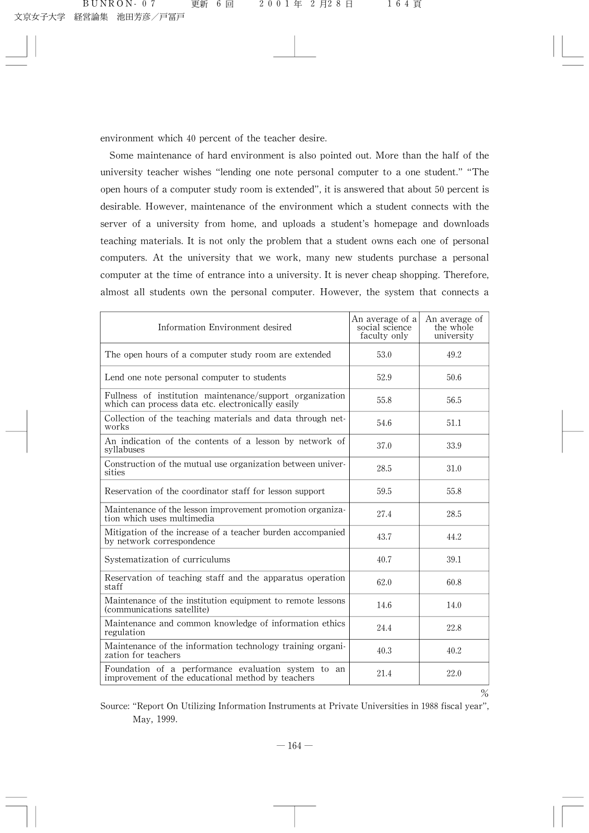environment which 40 percent of the teacher desire.

Some maintenance of hard environment is also pointed out. More than the half of the university teacher wishes "lending one note personal computer to a one student." "The open hours of a computer study room is extended", it is answered that about 50 percent is desirable. However, maintenance of the environment which a student connects with the server of a university from home, and uploads a student's homepage and downloads teaching materials. It is not only the problem that a student owns each one of personal computers. At the university that we work, many new students purchase a personal computer at the time of entrance into a university. It is never cheap shopping. Therefore, almost all students own the personal computer. However, the system that connects a

| Information Environment desired                                                                               | An average of a<br>social science<br>faculty only | An average of<br>the whole<br>university |
|---------------------------------------------------------------------------------------------------------------|---------------------------------------------------|------------------------------------------|
| The open hours of a computer study room are extended                                                          | 53.0                                              | 49.2                                     |
| Lend one note personal computer to students                                                                   | 52.9                                              | 50.6                                     |
| Fullness of institution maintenance/support organization<br>which can process data etc. electronically easily | 55.8                                              | 56.5                                     |
| Collection of the teaching materials and data through net-<br>works                                           | 54.6                                              | 51.1                                     |
| An indication of the contents of a lesson by network of<br>syllabuses                                         | 37.0                                              | 33.9                                     |
| Construction of the mutual use organization between univer-<br>sities                                         | 28.5                                              | 31.0                                     |
| Reservation of the coordinator staff for lesson support                                                       | 59.5                                              | 55.8                                     |
| Maintenance of the lesson improvement promotion organiza-<br>tion which uses multimedia                       | 27.4                                              | 28.5                                     |
| Mitigation of the increase of a teacher burden accompanied<br>by network correspondence                       | 43.7                                              | 44.2                                     |
| Systematization of curriculums                                                                                | 40.7                                              | 39.1                                     |
| Reservation of teaching staff and the apparatus operation<br>staff                                            | 62.0                                              | 60.8                                     |
| Maintenance of the institution equipment to remote lessons<br>(communications satellite)                      | 14.6                                              | 14.0                                     |
| Maintenance and common knowledge of information ethics<br>regulation                                          | 24.4                                              | 22.8                                     |
| Maintenance of the information technology training organi-<br>zation for teachers                             | 40.3                                              | 40.2                                     |
| Foundation of a performance evaluation system to an<br>improvement of the educational method by teachers      | 21.4                                              | 22.0                                     |

 $\%$ 

Source: "Report On Utilizing Information Instruments at Private Universities in 1988 fiscal year", May, 1999.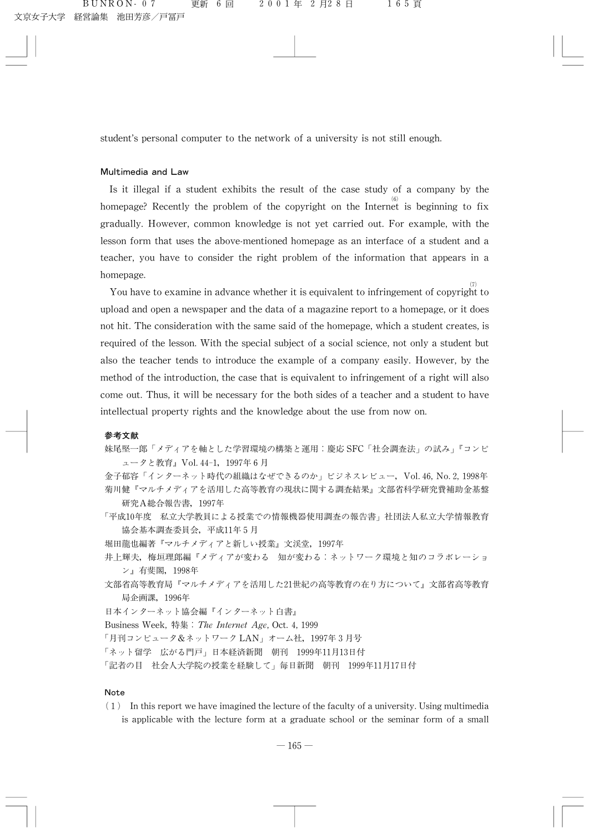student's personal computer to the network of a university is not still enough.

#### Multimedia and Law

Is it illegal if a student exhibits the result of the case study of a company by the homepage? Recently the problem of the copyright on the Internet is beginning to fix gradually. However, common knowledge is not yet carried out. For example, with the lesson form that uses the above-mentioned homepage as an interface of a student and a teacher, you have to consider the right problem of the information that appears in a homepage.

You have to examine in advance whether it is equivalent to infringement of copyright to  $\frac{1}{2}$ upload and open a newspaper and the data of a magazine report to a homepage, or it does not hit. The consideration with the same said of the homepage, which a student creates, is required of the lesson. With the special subject of a social science, not only a student but also the teacher tends to introduce the example of a company easily. However, by the method of the introduction, the case that is equivalent to infringement of a right will also come out. Thus, it will be necessary for the both sides of a teacher and a student to have intellectual property rights and the knowledge about the use from now on.

#### 参쬠文献

妹尾堅一郎「メディアを軸とした学習環境の構築と運用:慶応 SFC「社会調査法」の試み」『コンピ ュータと教育』Vol. 44-1, 1997年6月

金子郁容「インターネット時代の組織はなぜできるのか」ビジネスレビュー,Vol.46, No.2,1998年 菊川健『マルチメディアを活用した高等教育の現状に関する調査結果』文部省科学研究費補助金基盤 研究A総合報告書,1997年

- 「平成10年度 私立大学教員による授業での情報機器使用調査の報告書」社団法人私立大学情報教育 協会基本調査委員会,平成11年5月
- 堀田龍也編著『マルチメディアと新しい授業』文渓堂, 1997年
- 井上輝夫, 梅垣理郎編『メディアが変わる 知が変わる:ネットワーク環境と知のコラボレーショ ン씙有斐閣,1998年
- 文部省高等教育局『マルチメディアを活用した21世紀の高等教育の在り方について』文部省高等教育 局企画課,1996年

日本インターネット協会編『インターネット白書』

Business Week, 特集: The Internet Age, Oct. 4, 1999

「月刊コンピュータ&ネットワーク LAN」オーム社, 1997年3月号

「ネット留学 広がる門戸」日本経済新聞 朝刊 1999年11月13日付

「記者の目 社会人大学院の授業を経験して」毎日新聞 朝刊 1999年11月17日付

## Note

 $(1)$  In this report we have imagined the lecture of the faculty of a university. Using multimedia is applicable with the lecture form at a graduate school or the seminar form of a small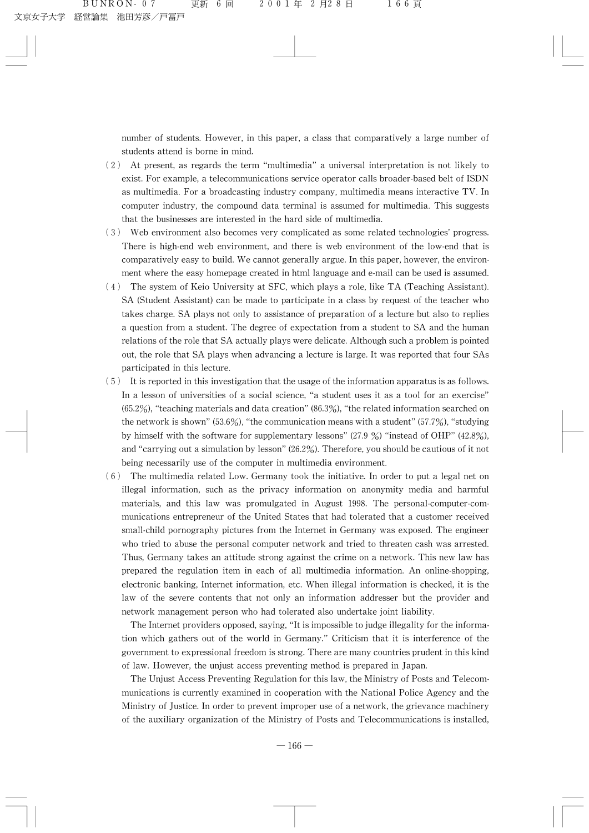number of students. However, in this paper, a class that comparatively a large number of students attend is borne in mind.

- $(2)$  At present, as regards the term "multimedia" a universal interpretation is not likely to exist. For example, a telecommunications service operator calls broader-based belt of ISDN as multimedia. For a broadcasting industry company, multimedia means interactive TV. In computer industry, the compound data terminal is assumed for multimedia. This suggests that the businesses are interested in the hard side of multimedia.
- (3) Web environment also becomes very complicated as some related technologies' progress. There is high-end web environment, and there is web environment of the low-end that is comparatively easy to build. We cannot generally argue. In this paper, however, the environment where the easy homepage created in html language and e-mail can be used is assumed.
- $(4)$  The system of Keio University at SFC, which plays a role, like TA (Teaching Assistant). SA (Student Assistant) can be made to participate in a class by request of the teacher who takes charge. SA plays not only to assistance of preparation of a lecture but also to replies a question from a student. The degree of expectation from a student to SA and the human relations of the role that SA actually plays were delicate. Although such a problem is pointed out, the role that SA plays when advancing a lecture is large. It was reported that four SAs participated in this lecture.
- (5) Itisreportedinthisinvestigationthattheusageoftheinformationapparatusisasfollows. In a lesson of universities of a social science, "a student uses it as a tool for an exercise"  $(65.2\%)$ , "teaching materials and data creation"  $(86.3\%)$ , "the related information searched on the network is shown"  $(53.6\%)$ , "the communication means with a student"  $(57.7\%)$ , "studying by himself with the software for supplementary lessons"  $(27.9\%)$  "instead of OHP"  $(42.8\%)$ , and "carrying out a simulation by lesson"  $(26.2\%)$ . Therefore, you should be cautious of it not being necessarily use of the computer in multimedia environment.
- $(6)$  The multimedia related Low. Germany took the initiative. In order to put a legal net on illegal information, such as the privacy information on anonymity media and harmful materials, and this law was promulgated in August 1998. The personal-computer-communications entrepreneur of the United States that had tolerated that a customer received small-child pornography pictures from the Internet in Germany was exposed. The engineer who tried to abuse the personal computer network and tried to threaten cash was arrested. Thus, Germany takes an attitude strong against the crime on a network. This new law has prepared the regulation item in each of all multimedia information. An online-shopping, electronic banking, Internet information, etc. When illegal information is checked, it is the law of the severe contents that not only an information addresser but the provider and network management person who had tolerated also undertake joint liability.

The Internet providers opposed, saying, "It is impossible to judge illegality for the information which gathers out of the world in Germany." Criticism that it is interference of the government to expressional freedom is strong. There are many countries prudent in this kind of law. However, the unjust access preventing method is prepared in Japan.

The Unjust Access Preventing Regulation for this law, the Ministry of Posts and Telecommunications is currently examined in cooperation with the National Police Agency and the Ministry of Justice. In order to prevent improper use of a network, the grievance machinery of the auxiliary organization of the Ministry of Posts and Telecommunications is installed,